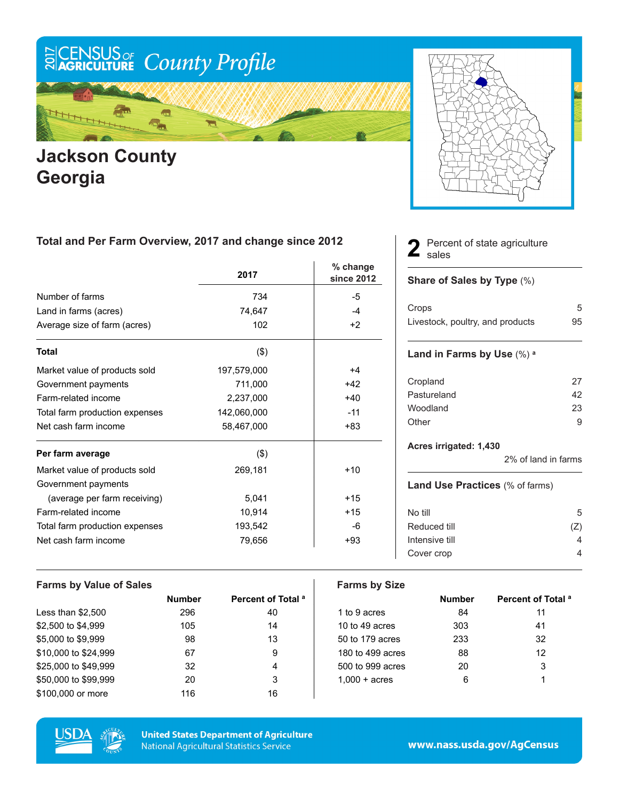

## **Jackson County Georgia**

### **Total and Per Farm Overview, 2017 and change since 2012**

|                                | 2017        | % change<br>since 2012 |
|--------------------------------|-------------|------------------------|
| Number of farms                | 734         | -5                     |
| Land in farms (acres)          | 74,647      | $-4$                   |
| Average size of farm (acres)   | 102         | $+2$                   |
| <b>Total</b>                   | (3)         |                        |
| Market value of products sold  | 197,579,000 | $+4$                   |
| Government payments            | 711,000     | $+42$                  |
| Farm-related income            | 2,237,000   | $+40$                  |
| Total farm production expenses | 142,060,000 | $-11$                  |
| Net cash farm income           | 58,467,000  | $+83$                  |
| Per farm average               | (3)         |                        |
| Market value of products sold  | 269,181     | $+10$                  |
| Government payments            |             |                        |
| (average per farm receiving)   | 5,041       | $+15$                  |
| Farm-related income            | 10,914      | $+15$                  |
| Total farm production expenses | 193,542     | -6                     |
| Net cash farm income           | 79,656      | +93                    |

Percent of state agriculture 2 Perce

#### **Share of Sales by Type** (%)

| Crops                            | 5  |
|----------------------------------|----|
| Livestock, poultry, and products | 95 |

#### **Land in Farms by Use** (%) **<sup>a</sup>**

| 27 |
|----|
| 42 |
| 23 |
| q  |
|    |

#### **Acres irrigated: 1,430**

2% of land in farms

#### **Land Use Practices** (% of farms)

| No till        | 5   |
|----------------|-----|
| Reduced till   | (Z) |
| Intensive till |     |
| Cover crop     |     |
|                |     |

| <b>Farms by Value of Sales</b> |               |                               | <b>Farms by Size</b>   |               |                               |
|--------------------------------|---------------|-------------------------------|------------------------|---------------|-------------------------------|
|                                | <b>Number</b> | Percent of Total <sup>a</sup> |                        | <b>Number</b> | Percent of Total <sup>a</sup> |
| Less than $$2,500$             | 296           | 40                            | 1 to 9 acres           | 84            | 11                            |
| \$2,500 to \$4,999             | 105           | 14                            | 10 to 49 acres         | 303           | 41                            |
| \$5,000 to \$9,999             | 98            | 13                            | 50 to 179 acres        | 233           | 32                            |
| \$10,000 to \$24,999           | 67            | 9                             | 180 to 499 acres       | 88            | 12                            |
| \$25,000 to \$49.999           | 32            | 4                             | 500 to 999 acres       | 20            | 3                             |
| \$50,000 to \$99,999           | 20            | 3                             | $1.000 + \text{acres}$ | 6             |                               |
| \$100,000 or more              | 116           | 16                            |                        |               |                               |



**United States Department of Agriculture National Agricultural Statistics Service**